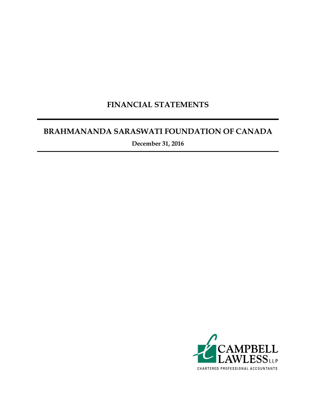## **FINANCIAL STATEMENTS**

## **BRAHMANANDA SARASWATI FOUNDATION OF CANADA**

**December 31, 2016**

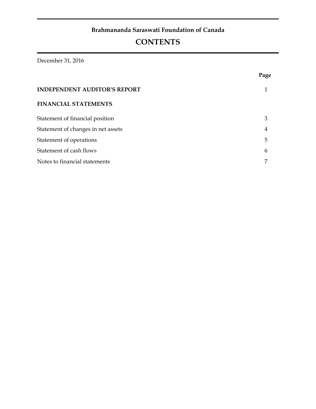## **Brahmananda Saraswati Foundation of Canada**

# **CONTENTS**

December 31, 2016

|                                     | Page |
|-------------------------------------|------|
| <b>INDEPENDENT AUDITOR'S REPORT</b> |      |
| <b>FINANCIAL STATEMENTS</b>         |      |
| Statement of financial position     | 3    |
| Statement of changes in net assets  | 4    |
| Statement of operations             | 5    |
| Statement of cash flows             | 6    |
| Notes to financial statements       |      |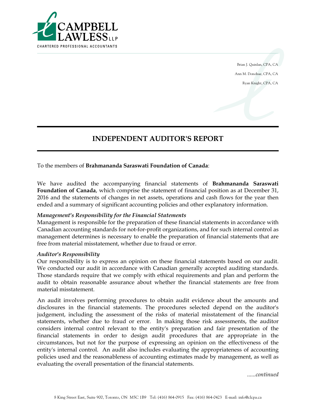

Brian J. Quinlan, CPA, CA Ann M. Donohue, CPA, CA Ryan Knight, CPA, CA

## **INDEPENDENT AUDITOR'S REPORT**

To the members of **Brahmananda Saraswati Foundation of Canada**:

We have audited the accompanying financial statements of **Brahmananda Saraswati Foundation of Canada**, which comprise the statement of financial position as at December 31, 2016 and the statements of changes in net assets, operations and cash flows for the year then ended and a summary of significant accounting policies and other explanatory information.

### *Management's Responsibility for the Financial Statements*

Management is responsible for the preparation of these financial statements in accordance with Canadian accounting standards for not-for-profit organizations, and for such internal control as management determines is necessary to enable the preparation of financial statements that are free from material misstatement, whether due to fraud or error.

#### *Auditor's Responsibility*

Our responsibility is to express an opinion on these financial statements based on our audit. We conducted our audit in accordance with Canadian generally accepted auditing standards. Those standards require that we comply with ethical requirements and plan and perform the audit to obtain reasonable assurance about whether the financial statements are free from material misstatement.

An audit involves performing procedures to obtain audit evidence about the amounts and disclosures in the financial statements. The procedures selected depend on the auditor's judgement, including the assessment of the risks of material misstatement of the financial statements, whether due to fraud or error. In making those risk assessments, the auditor considers internal control relevant to the entity's preparation and fair presentation of the financial statements in order to design audit procedures that are appropriate in the circumstances, but not for the purpose of expressing an opinion on the effectiveness of the entity's internal control. An audit also includes evaluating the appropriateness of accounting policies used and the reasonableness of accounting estimates made by management, as well as evaluating the overall presentation of the financial statements.

*......continued*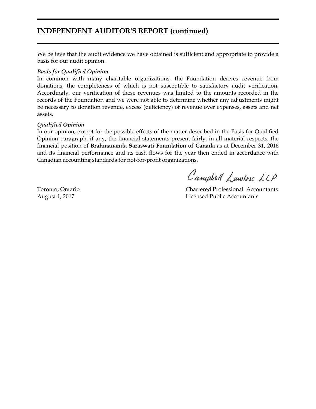## **INDEPENDENT AUDITOR'S REPORT (continued)**

We believe that the audit evidence we have obtained is sufficient and appropriate to provide a basis for our audit opinion.

#### *Basis for Qualified Opinion*

In common with many charitable organizations, the Foundation derives revenue from donations, the completeness of which is not susceptible to satisfactory audit verification. Accordingly, our verification of these revenues was limited to the amounts recorded in the records of the Foundation and we were not able to determine whether any adjustments might be necessary to donation revenue, excess (deficiency) of revenue over expenses, assets and net assets.

#### *Qualified Opinion*

In our opinion, except for the possible effects of the matter described in the Basis for Qualified Opinion paragraph, if any, the financial statements present fairly, in all material respects, the financial position of **Brahmananda Saraswati Foundation of Canada** as at December 31, 2016 and its financial performance and its cash flows for the year then ended in accordance with Canadian accounting standards for not-for-profit organizations.

Campbell Lawless LLP

Toronto, Ontario Chartered Professional Accountants August 1, 2017 Licensed Public Accountants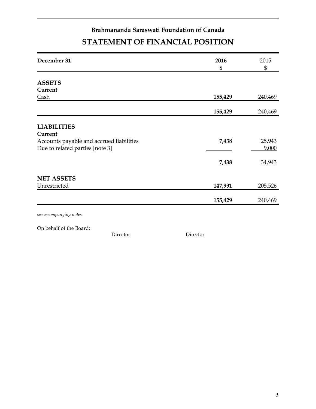## **Brahmananda Saraswati Foundation of Canada STATEMENT OF FINANCIAL POSITION**

| 155,429 | 240,469          |
|---------|------------------|
|         | 240,469          |
|         |                  |
|         |                  |
|         |                  |
|         | 25,943           |
|         | 9,000            |
| 7,438   | 34,943           |
|         |                  |
| 147,991 | 205,526          |
| 155,429 | 240,469          |
|         | 155,429<br>7,438 |

*see accompanying notes*

On behalf of the Board:

Director Director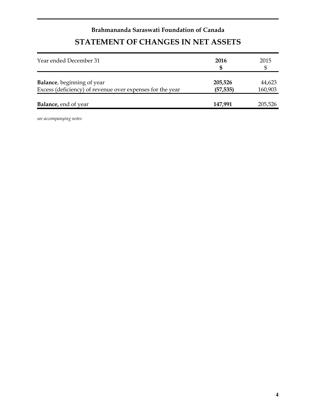# **Brahmananda Saraswati Foundation of Canada STATEMENT OF CHANGES IN NET ASSETS**

| Year ended December 31                                                                          | 2016                 | 2015              |
|-------------------------------------------------------------------------------------------------|----------------------|-------------------|
| <b>Balance</b> , beginning of year<br>Excess (deficiency) of revenue over expenses for the year | 205,526<br>(57, 535) | 44,623<br>160,903 |
| <b>Balance</b> , end of year                                                                    | 147,991              | 205,526           |

*see accompanying notes*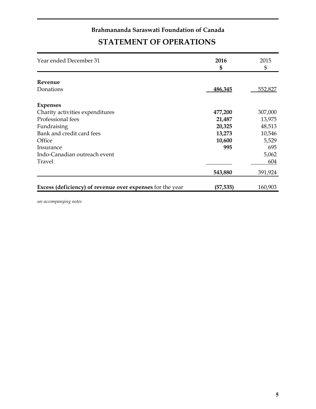# **Brahmananda Saraswati Foundation of Canada STATEMENT OF OPERATIONS**

| Year ended December 31                                           | 2016<br>\$ | 2015<br>\$ |
|------------------------------------------------------------------|------------|------------|
| Revenue                                                          |            |            |
| Donations                                                        | 486,345    | 552,827    |
| <b>Expenses</b>                                                  |            |            |
| Charity activities expenditures                                  | 477,200    | 307,000    |
| Professional fees                                                | 21,487     | 13,975     |
| Fundraising                                                      | 20,325     | 48,513     |
| Bank and credit card fees                                        | 13,273     | 10,546     |
| Office                                                           | 10,600     | 5,529      |
| Insurance                                                        | 995        | 695        |
| Indo-Canadian outreach event                                     |            | 5,062      |
| Travel                                                           |            | 604        |
|                                                                  | 543,880    | 391,924    |
| <b>Excess (deficiency) of revenue over expenses</b> for the year | (57, 535)  | 160,903    |

*see accompanying notes*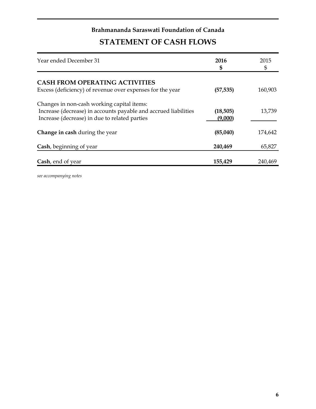## **Brahmananda Saraswati Foundation of Canada**

# **STATEMENT OF CASH FLOWS**

| Year ended December 31                                                                                                                                         | 2016<br>\$           | 2015<br>\$ |
|----------------------------------------------------------------------------------------------------------------------------------------------------------------|----------------------|------------|
| <b>CASH FROM OPERATING ACTIVITIES</b><br>Excess (deficiency) of revenue over expenses for the year                                                             | (57, 535)            | 160,903    |
| Changes in non-cash working capital items:<br>Increase (decrease) in accounts payable and accrued liabilities<br>Increase (decrease) in due to related parties | (18, 505)<br>(9,000) | 13,739     |
| Change in cash during the year                                                                                                                                 | (85,040)             | 174,642    |
| Cash, beginning of year                                                                                                                                        | 240,469              | 65,827     |
| Cash, end of year                                                                                                                                              | 155,429              | 240,469    |

*see accompanying notes*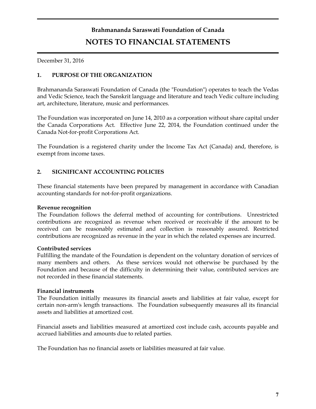# **Brahmananda Saraswati Foundation of Canada NOTES TO FINANCIAL STATEMENTS**

December 31, 2016

### **1. PURPOSE OF THE ORGANIZATION**

Brahmananda Saraswati Foundation of Canada (the "Foundation") operates to teach the Vedas and Vedic Science, teach the Sanskrit language and literature and teach Vedic culture including art, architecture, literature, music and performances.

The Foundation was incorporated on June 14, 2010 as a corporation without share capital under the Canada Corporations Act. Effective June 22, 2014, the Foundation continued under the Canada Not-for-profit Corporations Act.

The Foundation is a registered charity under the Income Tax Act (Canada) and, therefore, is exempt from income taxes.

### **2. SIGNIFICANT ACCOUNTING POLICIES**

These financial statements have been prepared by management in accordance with Canadian accounting standards for not-for-profit organizations.

### **Revenue recognition**

The Foundation follows the deferral method of accounting for contributions. Unrestricted contributions are recognized as revenue when received or receivable if the amount to be received can be reasonably estimated and collection is reasonably assured. Restricted contributions are recognized as revenue in the year in which the related expenses are incurred.

### **Contributed services**

Fulfilling the mandate of the Foundation is dependent on the voluntary donation of services of many members and others. As these services would not otherwise be purchased by the Foundation and because of the difficulty in determining their value, contributed services are not recorded in these financial statements.

### **Financial instruments**

The Foundation initially measures its financial assets and liabilities at fair value, except for certain non-arm's length transactions. The Foundation subsequently measures all its financial assets and liabilities at amortized cost.

Financial assets and liabilities measured at amortized cost include cash, accounts payable and accrued liabilities and amounts due to related parties.

The Foundation has no financial assets or liabilities measured at fair value.